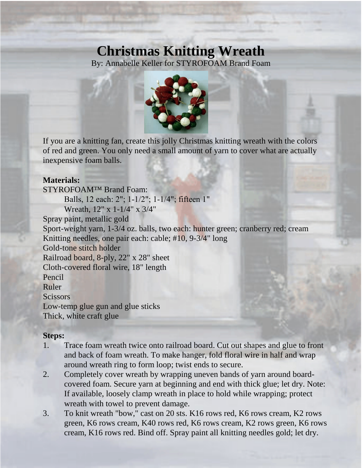## **Christmas Knitting Wreath**

By: Annabelle Keller for STYROFOAM Brand Foam



If you are a knitting fan, create this jolly Christmas knitting wreath with the colors of red and green. You only need a small amount of yarn to cover what are actually inexpensive foam balls.

## **Materials:**

STYROFOAM™ Brand Foam: Balls, 12 each: 2"; 1-1/2"; 1-1/4"; fifteen 1" Wreath, 12" x 1-1/4" x 3/4" Spray paint, metallic gold Sport-weight yarn, 1-3/4 oz. balls, two each: hunter green; cranberry red; cream Knitting needles, one pair each: cable; #10, 9-3/4" long Gold-tone stitch holder Railroad board, 8-ply, 22" x 28" sheet Cloth-covered floral wire, 18" length Pencil Ruler **Scissors** Low-temp glue gun and glue sticks Thick, white craft glue

## **Steps:**

- 1. Trace foam wreath twice onto railroad board. Cut out shapes and glue to front and back of foam wreath. To make hanger, fold floral wire in half and wrap around wreath ring to form loop; twist ends to secure.
- 2. Completely cover wreath by wrapping uneven bands of yarn around boardcovered foam. Secure yarn at beginning and end with thick glue; let dry. Note: If available, loosely clamp wreath in place to hold while wrapping; protect wreath with towel to prevent damage.
- 3. To knit wreath "bow," cast on 20 sts. K16 rows red, K6 rows cream, K2 rows green, K6 rows cream, K40 rows red, K6 rows cream, K2 rows green, K6 rows cream, K16 rows red. Bind off. Spray paint all knitting needles gold; let dry.